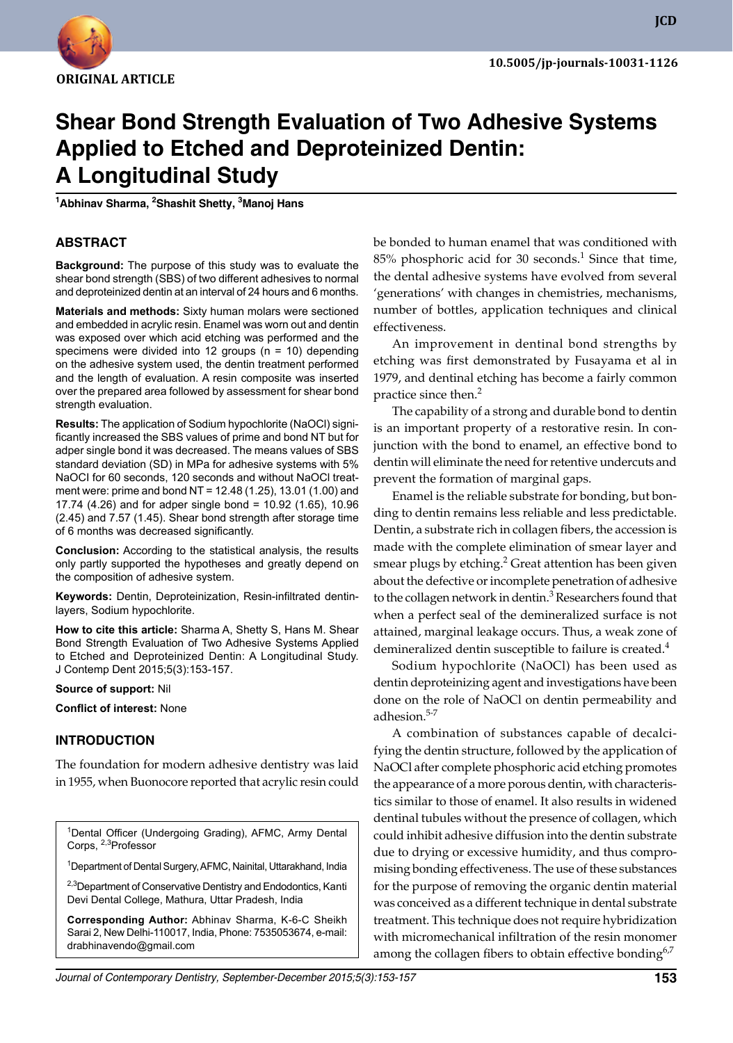

# **Shear Bond Strength Evaluation of Two Adhesive Systems Applied to Etched and Deproteinized Dentin: A Longitudinal Study**

**1 Abhinav Sharma, 2 Shashit Shetty, 3 Manoj Hans**

# **ABSTRACT**

**Background:** The purpose of this study was to evaluate the shear bond strength (SBS) of two different adhesives to normal and deproteinized dentin at an interval of 24 hours and 6 months.

**Materials and methods:** Sixty human molars were sectioned and embedded in acrylic resin. Enamel was worn out and dentin was exposed over which acid etching was performed and the specimens were divided into 12 groups ( $n = 10$ ) depending on the adhesive system used, the dentin treatment performed and the length of evaluation. A resin composite was inserted over the prepared area followed by assessment for shear bond strength evaluation.

**Results:** The application of Sodium hypochlorite (NaOCl) significantly increased the SBS values of prime and bond NT but for adper single bond it was decreased. The means values of SBS standard deviation (SD) in MPa for adhesive systems with 5% NaOCI for 60 seconds, 120 seconds and without NaOCl treatment were: prime and bond NT = 12.48 (1.25), 13.01 (1.00) and 17.74 (4.26) and for adper single bond = 10.92 (1.65), 10.96 (2.45) and 7.57 (1.45). Shear bond strength after storage time of 6 months was decreased significantly.

**Conclusion:** According to the statistical analysis, the results only partly supported the hypotheses and greatly depend on the composition of adhesive system.

**Keywords:** Dentin, Deproteinization, Resin-infiltrated dentinlayers, Sodium hypochlorite.

**How to cite this article:** Sharma A, Shetty S, Hans M. Shear Bond Strength Evaluation of Two Adhesive Systems Applied to Etched and Deproteinized Dentin: A Longitudinal Study. J Contemp Dent 2015;5(3):153-157.

#### **Source of support:** Nil

**Conflict of interest:** None

## **Introduction**

The foundation for modern adhesive dentistry was laid in 1955, when Buonocore reported that acrylic resin could

<sup>1</sup>Dental Officer (Undergoing Grading), AFMC, Army Dental Corps, 2,3Professor

<sup>1</sup>Department of Dental Surgery, AFMC, Nainital, Uttarakhand, India

<sup>2,3</sup>Department of Conservative Dentistry and Endodontics, Kanti Devi Dental College, Mathura, Uttar Pradesh, India

**Corresponding Author:** Abhinav Sharma, k-6-c Sheikh Sarai 2, New Delhi-110017, India, Phone: 7535053674, e-mail: drabhinavendo@gmail.com

be bonded to human enamel that was conditioned with 85% phosphoric acid for 30 seconds.<sup>1</sup> Since that time, the dental adhesive systems have evolved from several 'generations' with changes in chemistries, mechanisms, number of bottles, application techniques and clinical effectiveness.

An improvement in dentinal bond strengths by etching was first demonstrated by Fusayama et al in 1979, and dentinal etching has become a fairly common practice since then.<sup>2</sup>

The capability of a strong and durable bond to dentin is an important property of a restorative resin. In conjunction with the bond to enamel, an effective bond to dentin will eliminate the need for retentive undercuts and prevent the formation of marginal gaps.

Enamel is the reliable substrate for bonding, but bonding to dentin remains less reliable and less predictable. Dentin, a substrate rich in collagen fibers, the accession is made with the complete elimination of smear layer and smear plugs by etching. $2$  Great attention has been given about the defective or incomplete penetration of adhesive to the collagen network in dentin. $^3$  Researchers found that when a perfect seal of the demineralized surface is not attained, marginal leakage occurs. Thus, a weak zone of demineralized dentin susceptible to failure is created.<sup>4</sup>

Sodium hypochlorite (NaOCl) has been used as dentin deproteinizing agent and investigations have been done on the role of NaOCl on dentin permeability and adhesion.<sup>5-7</sup>

A combination of substances capable of decalcifying the dentin structure, followed by the application of NaOCl after complete phosphoric acid etching promotes the appearance of a more porous dentin, with characteristics similar to those of enamel. It also results in widened dentinal tubules without the presence of collagen, which could inhibit adhesive diffusion into the dentin substrate due to drying or excessive humidity, and thus compromising bonding effectiveness. The use of these substances for the purpose of removing the organic dentin material was conceived as a different technique in dental substrate treatment. This technique does not require hybridization with micromechanical infiltration of the resin monomer among the collagen fibers to obtain effective bonding<sup>6,7</sup>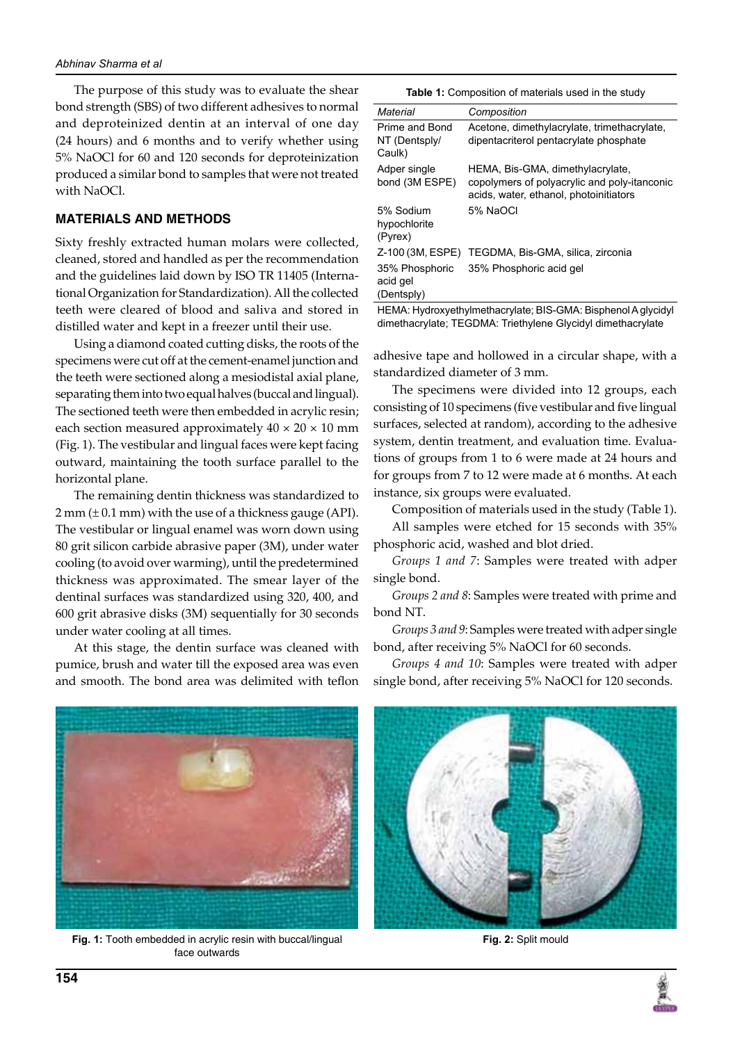The purpose of this study was to evaluate the shear bond strength (SBS) of two different adhesives to normal and deproteinized dentin at an interval of one day (24 hours) and 6 months and to verify whether using 5% NaOCl for 60 and 120 seconds for deproteinization produced a similar bond to samples that were not treated with NaOCl.

#### **Materials and methods**

Sixty freshly extracted human molars were collected, cleaned, stored and handled as per the recommendation and the guidelines laid down by ISO TR 11405 (International Organization for Standardization). All the collected teeth were cleared of blood and saliva and stored in distilled water and kept in a freezer until their use.

Using a diamond coated cutting disks, the roots of the specimens were cut off at the cement-enamel junction and the teeth were sectioned along a mesiodistal axial plane, separating them into two equal halves (buccal and lingual). The sectioned teeth were then embedded in acrylic resin; each section measured approximately  $40 \times 20 \times 10$  mm (Fig. 1). The vestibular and lingual faces were kept facing outward, maintaining the tooth surface parallel to the horizontal plane.

The remaining dentin thickness was standardized to  $2 \text{ mm } (\pm 0.1 \text{ mm})$  with the use of a thickness gauge (API). The vestibular or lingual enamel was worn down using 80 grit silicon carbide abrasive paper (3M), under water cooling (to avoid over warming), until the predetermined thickness was approximated. The smear layer of the dentinal surfaces was standardized using 320, 400, and 600 grit abrasive disks (3M) sequentially for 30 seconds under water cooling at all times.

At this stage, the dentin surface was cleaned with pumice, brush and water till the exposed area was even and smooth. The bond area was delimited with teflon

**Table 1:** Composition of materials used in the study

| Material                                  | Composition                                                                                                                |
|-------------------------------------------|----------------------------------------------------------------------------------------------------------------------------|
| Prime and Bond<br>NT (Dentsply/<br>Caulk) | Acetone, dimethylacrylate, trimethacrylate,<br>dipentacriterol pentacrylate phosphate                                      |
| Adper single<br>bond (3M ESPE)            | HEMA, Bis-GMA, dimethylacrylate,<br>copolymers of polyacrylic and poly-itanconic<br>acids, water, ethanol, photoinitiators |
| 5% Sodium<br>hypochlorite<br>(Pyrex)      | 5% NaOCI                                                                                                                   |
| Z-100 (3M, ESPE)                          | TEGDMA, Bis-GMA, silica, zirconia                                                                                          |
| 35% Phosphoric<br>acid gel<br>(Dentsply)  | 35% Phosphoric acid gel                                                                                                    |

HEMA: Hydroxyethylmethacrylate; BIS-GMA: Bisphenol A glycidyl dimethacrylate; TEGDMA: Triethylene Glycidyl dimethacrylate

adhesive tape and hollowed in a circular shape, with a standardized diameter of 3 mm.

The specimens were divided into 12 groups, each consisting of 10 specimens (five vestibular and five lingual surfaces, selected at random), according to the adhesive system, dentin treatment, and evaluation time. Evaluations of groups from 1 to 6 were made at 24 hours and for groups from 7 to 12 were made at 6 months. At each instance, six groups were evaluated.

Composition of materials used in the study (Table 1).

All samples were etched for 15 seconds with 35% phosphoric acid, washed and blot dried.

*Groups 1 and 7*: Samples were treated with adper single bond.

*Groups 2 and 8*: Samples were treated with prime and bond NT.

*Groups 3 and 9*: Samples were treated with adper single bond, after receiving 5% NaOCl for 60 seconds.

*Groups 4 and 10*: Samples were treated with adper single bond, after receiving 5% NaOCl for 120 seconds.



**Fig. 1:** Tooth embedded in acrylic resin with buccal/lingual face outwards



**Fig. 2:** Split mould

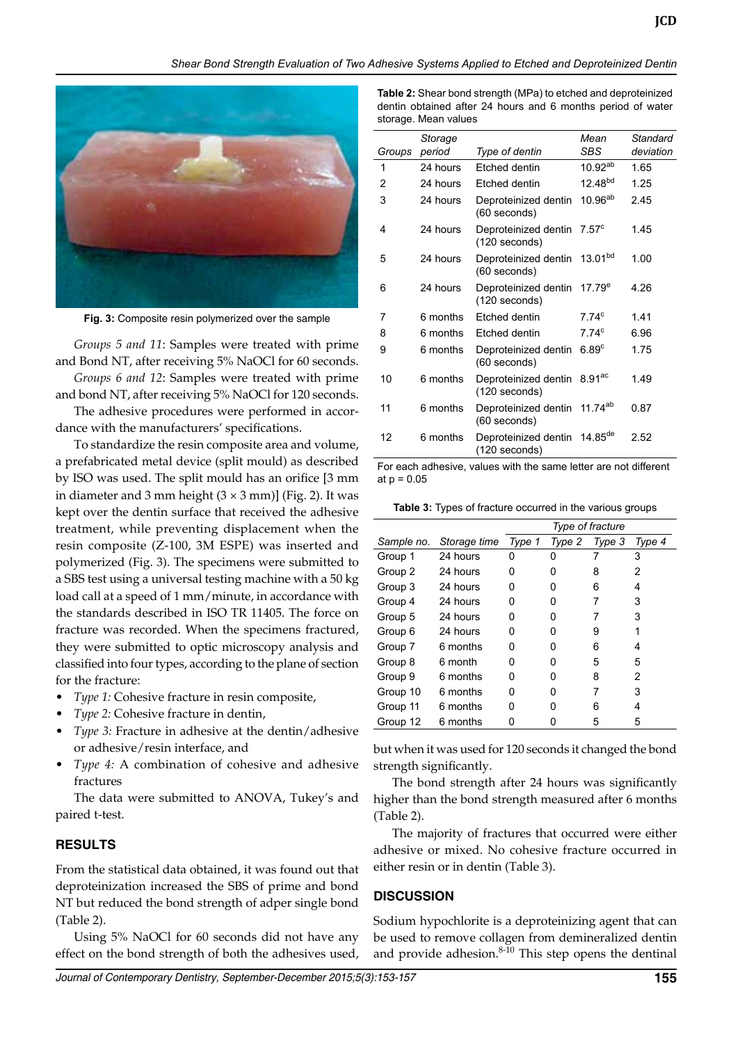

**Fig. 3:** Composite resin polymerized over the sample

*Groups 5 and 11*: Samples were treated with prime and Bond NT, after receiving 5% NaOCl for 60 seconds.

*Groups 6 and 12*: Samples were treated with prime and bond NT, after receiving 5% NaOCl for 120 seconds.

The adhesive procedures were performed in accordance with the manufacturers' specifications.

To standardize the resin composite area and volume, a prefabricated metal device (split mould) as described by ISO was used. The split mould has an orifice [3 mm in diameter and 3 mm height  $(3 \times 3$  mm)] (Fig. 2). It was kept over the dentin surface that received the adhesive treatment, while preventing displacement when the resin composite (Z-100, 3M ESPE) was inserted and polymerized (Fig. 3). The specimens were submitted to a SBS test using a universal testing machine with a 50 kg load call at a speed of 1 mm/minute, in accordance with the standards described in ISO TR 11405. The force on fracture was recorded. When the specimens fractured, they were submitted to optic microscopy analysis and classified into four types, according to the plane of section for the fracture:

- *Type 1:* Cohesive fracture in resin composite,
- *Type 2:* Cohesive fracture in dentin,
- *Type 3:* Fracture in adhesive at the dentin/adhesive or adhesive/resin interface, and
- *Type 4:* A combination of cohesive and adhesive fractures

The data were submitted to ANOVA, Tukey's and paired t-test.

# **Results**

From the statistical data obtained, it was found out that deproteinization increased the SBS of prime and bond NT but reduced the bond strength of adper single bond (Table 2).

Using 5% NaOCl for 60 seconds did not have any effect on the bond strength of both the adhesives used,

| storage. Mean values |                   |                                                                 |                       |                       |  |  |  |  |
|----------------------|-------------------|-----------------------------------------------------------------|-----------------------|-----------------------|--|--|--|--|
| Groups               | Storage<br>period | Type of dentin                                                  | Mean<br><b>SBS</b>    | Standard<br>deviation |  |  |  |  |
| 1                    | 24 hours          | Etched dentin                                                   | $10.92^{ab}$          | 1.65                  |  |  |  |  |
| 2                    | 24 hours          | Etched dentin                                                   | $12.48^{bd}$          | 1.25                  |  |  |  |  |
| 3                    | 24 hours          | Deproteinized dentin<br>(60 seconds)                            | 10.96 <sup>ab</sup>   | 2.45                  |  |  |  |  |
| 4                    | 24 hours          | Deproteinized dentin<br>$(120$ seconds)                         | $7.57^{\circ}$        | 1.45                  |  |  |  |  |
| 5                    | 24 hours          | $13.01^{bd}$<br>Deproteinized dentin<br>(60 seconds)            |                       | 1.00                  |  |  |  |  |
| 6                    | 24 hours          | $17.79^e$<br>Deproteinized dentin<br>$(120$ seconds)            |                       | 4.26                  |  |  |  |  |
| 7                    | 6 months          | Etched dentin<br>7.74c                                          |                       | 1.41                  |  |  |  |  |
| 8                    | 6 months          | Etched dentin                                                   | 7.74 <sup>c</sup>     | 6.96                  |  |  |  |  |
| 9                    | 6 months          | 6.89 <sup>c</sup><br>Deproteinized dentin<br>(60 seconds)       |                       | 1.75                  |  |  |  |  |
| 10                   | 6 months          | $8.91$ <sup>ac</sup><br>Deproteinized dentin<br>$(120$ seconds) |                       | 1.49                  |  |  |  |  |
| 11                   | 6 months          | Deproteinized dentin<br>(60 seconds)                            | $11.74^{ab}$          | 0.87                  |  |  |  |  |
| 12                   | 6 months          | Deproteinized dentin<br>(120 seconds)                           | $14.85$ <sup>de</sup> | 2.52                  |  |  |  |  |

**Table 2:** Shear bond strength (MPa) to etched and deproteinized dentin obtained after 24 hours and 6 months period of water

For each adhesive, values with the same letter are not different at  $p = 0.05$ 

**Table 3:** Types of fracture occurred in the various groups

|            |              | Type of fracture |        |        |        |
|------------|--------------|------------------|--------|--------|--------|
| Sample no. | Storage time | Type 1           | Type 2 | Type 3 | Type 4 |
| Group 1    | 24 hours     | O                | O      |        | 3      |
| Group 2    | 24 hours     | ი                | 0      | 8      | 2      |
| Group 3    | 24 hours     | 0                | O      | 6      | 4      |
| Group 4    | 24 hours     | O                | O      | 7      | 3      |
| Group 5    | 24 hours     | O                | O      |        | 3      |
| Group 6    | 24 hours     | ŋ                | 0      | 9      |        |
| Group 7    | 6 months     | ŋ                | O      | 6      | 4      |
| Group 8    | 6 month      | n                | 0      | 5      | 5      |
| Group 9    | 6 months     | ŋ                | 0      | 8      | 2      |
| Group 10   | 6 months     | ŋ                | O      |        | 3      |
| Group 11   | 6 months     | n                | 0      | 6      | 4      |
| Group 12   | 6 months     |                  |        | 5      | 5      |

but when it was used for 120 seconds it changed the bond strength significantly.

The bond strength after 24 hours was significantly higher than the bond strength measured after 6 months (Table 2).

The majority of fractures that occurred were either adhesive or mixed. No cohesive fracture occurred in either resin or in dentin (Table 3).

# **Discussion**

Sodium hypochlorite is a deproteinizing agent that can be used to remove collagen from demineralized dentin and provide adhesion. $8-10$  This step opens the dentinal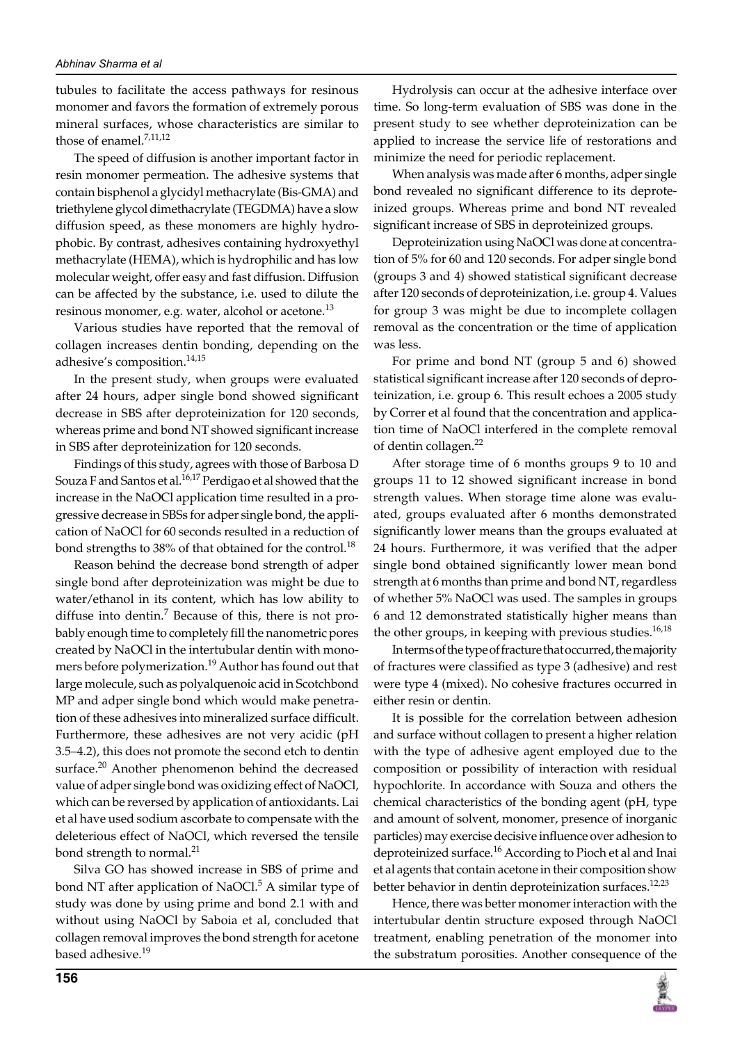tubules to facilitate the access pathways for resinous monomer and favors the formation of extremely porous mineral surfaces, whose characteristics are similar to those of enamel.<sup>7,11,12</sup>

The speed of diffusion is another important factor in resin monomer permeation. The adhesive systems that contain bisphenol a glycidyl methacrylate (Bis-GMA) and triethylene glycol dimethacrylate (TEGDMA) have a slow diffusion speed, as these monomers are highly hydrophobic. By contrast, adhesives containing hydroxyethyl methacrylate (HEMA), which is hydrophilic and has low molecular weight, offer easy and fast diffusion. Diffusion can be affected by the substance, i.e. used to dilute the resinous monomer, e.g. water, alcohol or acetone.<sup>13</sup>

Various studies have reported that the removal of collagen increases dentin bonding, depending on the adhesive's composition.<sup>14,15</sup>

In the present study, when groups were evaluated after 24 hours, adper single bond showed significant decrease in SBS after deproteinization for 120 seconds, whereas prime and bond NT showed significant increase in SBS after deproteinization for 120 seconds.

Findings of this study, agrees with those of Barbosa D Souza F and Santos et al.<sup>16,17</sup> Perdigao et al showed that the increase in the NaOCl application time resulted in a progressive decrease in SBSs for adper single bond, the application of NaOCl for 60 seconds resulted in a reduction of bond strengths to 38% of that obtained for the control.<sup>18</sup>

Reason behind the decrease bond strength of adper single bond after deproteinization was might be due to water/ethanol in its content, which has low ability to diffuse into dentin.<sup>7</sup> Because of this, there is not probably enough time to completely fill the nanometric pores created by NaOCl in the intertubular dentin with monomers before polymerization.<sup>19</sup> Author has found out that large molecule, such as polyalquenoic acid in Scotchbond MP and adper single bond which would make penetration of these adhesives into mineralized surface difficult. Furthermore, these adhesives are not very acidic (pH 3.5–4.2), this does not promote the second etch to dentin surface.<sup>20</sup> Another phenomenon behind the decreased value of adper single bond was oxidizing effect of NaOCl, which can be reversed by application of antioxidants. Lai et al have used sodium ascorbate to compensate with the deleterious effect of NaOCl, which reversed the tensile bond strength to normal.<sup>21</sup>

Silva GO has showed increase in SBS of prime and bond NT after application of NaOCl.<sup>5</sup> A similar type of study was done by using prime and bond 2.1 with and without using NaOCl by Saboia et al, concluded that collagen removal improves the bond strength for acetone based adhesive.<sup>19</sup>

Hydrolysis can occur at the adhesive interface over time. So long-term evaluation of SBS was done in the present study to see whether deproteinization can be applied to increase the service life of restorations and minimize the need for periodic replacement.

When analysis was made after 6 months, adper single bond revealed no significant difference to its deproteinized groups. Whereas prime and bond NT revealed significant increase of SBS in deproteinized groups.

Deproteinization using NaOCl was done at concentration of 5% for 60 and 120 seconds. For adper single bond (groups 3 and 4) showed statistical significant decrease after 120 seconds of deproteinization, i.e. group 4. Values for group 3 was might be due to incomplete collagen removal as the concentration or the time of application was less.

For prime and bond NT (group 5 and 6) showed statistical significant increase after 120 seconds of deproteinization, i.e. group 6. This result echoes a 2005 study by Correr et al found that the concentration and application time of NaOCl interfered in the complete removal of dentin collagen.<sup>22</sup>

After storage time of 6 months groups 9 to 10 and groups 11 to 12 showed significant increase in bond strength values. When storage time alone was evaluated, groups evaluated after 6 months demonstrated significantly lower means than the groups evaluated at 24 hours. Furthermore, it was verified that the adper single bond obtained significantly lower mean bond strength at 6 months than prime and bond NT, regardless of whether 5% NaOCl was used. The samples in groups 6 and 12 demonstrated statistically higher means than the other groups, in keeping with previous studies. $16,18$ 

In terms of the type of fracture that occurred, the majority of fractures were classified as type 3 (adhesive) and rest were type 4 (mixed). No cohesive fractures occurred in either resin or dentin.

It is possible for the correlation between adhesion and surface without collagen to present a higher relation with the type of adhesive agent employed due to the composition or possibility of interaction with residual hypochlorite. In accordance with Souza and others the chemical characteristics of the bonding agent (pH, type and amount of solvent, monomer, presence of inorganic particles) may exercise decisive influence over adhesion to deproteinized surface.<sup>16</sup> According to Pioch et al and Inai et al agents that contain acetone in their composition show better behavior in dentin deproteinization surfaces.<sup>12,23</sup>

Hence, there was better monomer interaction with the intertubular dentin structure exposed through NaOCl treatment, enabling penetration of the monomer into the substratum porosities. Another consequence of the